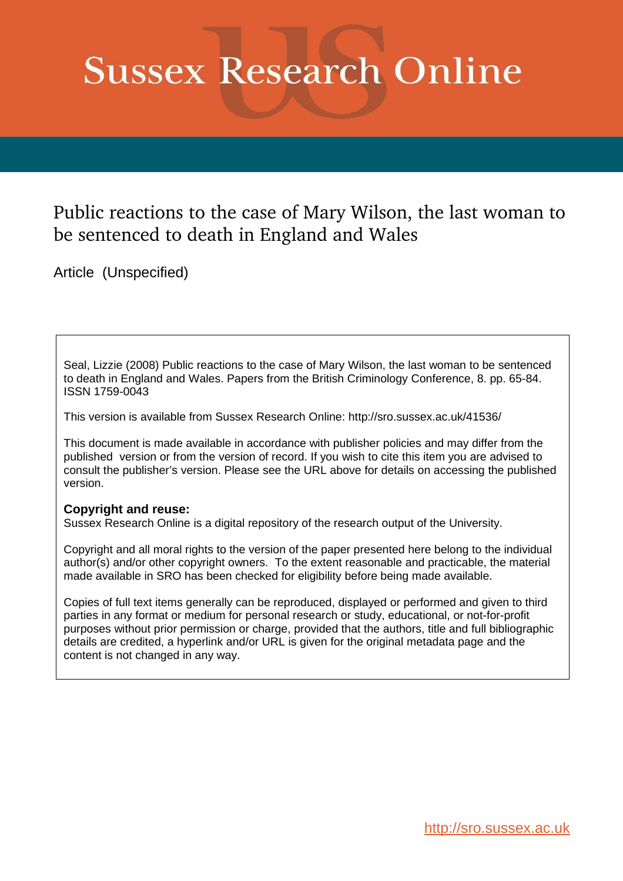# **Sussex Research Online**

# Public reactions to the case of Mary Wilson, the last woman to be sentenced to death in England and Wales

Article (Unspecified)

Seal, Lizzie (2008) Public reactions to the case of Mary Wilson, the last woman to be sentenced to death in England and Wales. Papers from the British Criminology Conference, 8. pp. 65-84. ISSN 1759-0043

This version is available from Sussex Research Online: http://sro.sussex.ac.uk/41536/

This document is made available in accordance with publisher policies and may differ from the published version or from the version of record. If you wish to cite this item you are advised to consult the publisher's version. Please see the URL above for details on accessing the published version.

#### **Copyright and reuse:**

Sussex Research Online is a digital repository of the research output of the University.

Copyright and all moral rights to the version of the paper presented here belong to the individual author(s) and/or other copyright owners. To the extent reasonable and practicable, the material made available in SRO has been checked for eligibility before being made available.

Copies of full text items generally can be reproduced, displayed or performed and given to third parties in any format or medium for personal research or study, educational, or not-for-profit purposes without prior permission or charge, provided that the authors, title and full bibliographic details are credited, a hyperlink and/or URL is given for the original metadata page and the content is not changed in any way.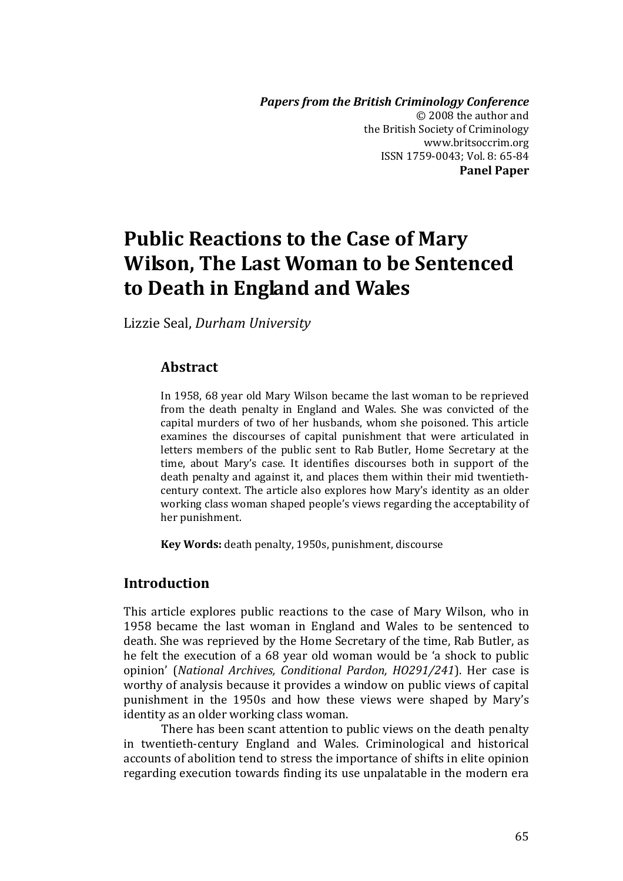*Papers from the British Criminology Conference*  $\odot$  2008 the author and the British Society of Criminology www.britsoccrim.org ISSN 1759-0043; Vol. 8: 65-84 **Panel Paper**

# **Public Reactions to the Case of Mary Wilson, The Last Woman to be Sentenced to Death in England and Wales**

Lizzie Seal, *Durham University*

#### **Abstract**

In 1958, 68 year old Mary Wilson became the last woman to be reprieved from the death penalty in England and Wales. She was convicted of the capital murders of two of her husbands, whom she poisoned. This article examines the discourses of capital punishment that were articulated in letters members of the public sent to Rab Butler, Home Secretary at the time, about Mary's case. It identifies discourses both in support of the death penalty and against it, and places them within their mid twentieth‐ century context. The article also explores how Maryǯs identity as an older working class woman shaped people's views regarding the acceptability of her punishment.

**Key Words:** death penalty, 1950s, punishment, discourse

# **Introduction**

This article explores public reactions to the case of Mary Wilson, who in 1958 became the last woman in England and Wales to be sentenced to death. She was reprieved by the Home Secretary of the time, Rab Butler, as he felt the execution of a 68 year old woman would be 'a shock to public opinionǯ ȋ*National Archives, Conditional Pardon, HO291/241*Ȍ. (er case is worthy of analysis because it provides a window on public views of capital punishment in the 1950s and how these views were shaped by Mary's identity as an older working class woman.

There has been scant attention to public views on the death penalty in twentieth-century England and Wales. Criminological and historical accounts of abolition tend to stress the importance of shifts in elite opinion regarding execution towards finding its use unpalatable in the modern era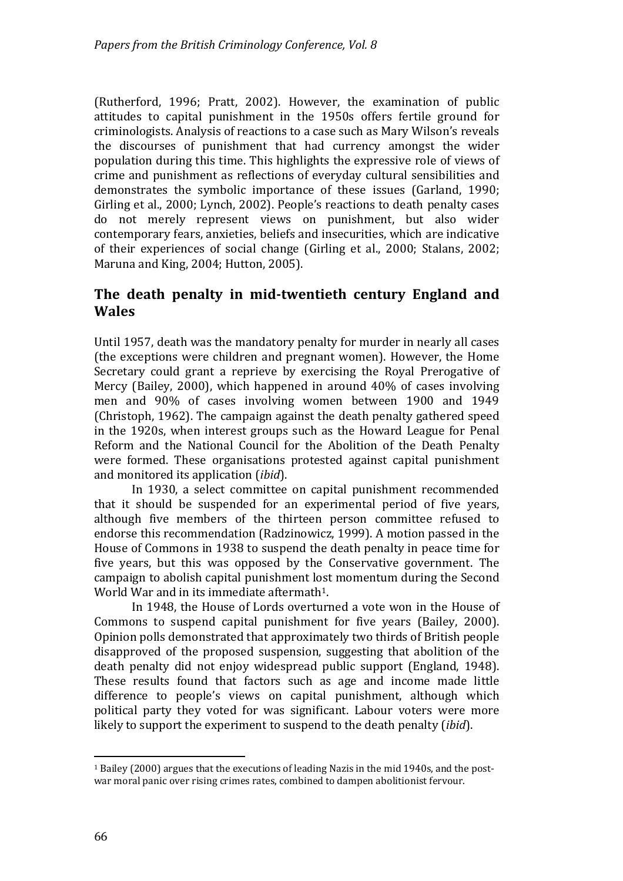(Rutherford, 1996; Pratt, 2002). However, the examination of public attitudes to capital punishment in the 1950s offers fertile ground for criminologists. Analysis of reactions to a case such as Mary Wilson's reveals the discourses of punishment that had currency amongst the wider population during this time. This highlights the expressive role of views of crime and punishment as reflections of everyday cultural sensibilities and demonstrates the symbolic importance of these issues (Garland, 1990; Girling et al., 2000; Lynch, 2002). People's reactions to death penalty cases do not merely represent views on punishment, but also wider contemporary fears, anxieties, beliefs and insecurities, which are indicative of their experiences of social change (Girling et al., 2000; Stalans, 2002; Maruna and King, 2004; Hutton, 2005).

# **The death penalty in midtwentieth century England and Wales**

Until 1957, death was the mandatory penalty for murder in nearly all cases (the exceptions were children and pregnant women). However, the Home Secretary could grant a reprieve by exercising the Royal Prerogative of Mercy (Bailey, 2000), which happened in around  $40\%$  of cases involving men and 90% of cases involving women between 1900 and 1949 (Christoph, 1962). The campaign against the death penalty gathered speed in the 1920s, when interest groups such as the Howard League for Penal Reform and the National Council for the Abolition of the Death Penalty were formed. These organisations protested against capital punishment and monitored its application (*ibid*).

In 1930, a select committee on capital punishment recommended that it should be suspended for an experimental period of five years, although five members of the thirteen person committee refused to endorse this recommendation (Radzinowicz, 1999). A motion passed in the House of Commons in 1938 to suspend the death penalty in peace time for five years, but this was opposed by the Conservative government. The campaign to abolish capital punishment lost momentum during the Second World War and in its immediate aftermath<sup>1</sup>.

In 1948, the House of Lords overturned a vote won in the House of Commons to suspend capital punishment for five years (Bailey, 2000). Opinion polls demonstrated that approximately two thirds of British people disapproved of the proposed suspension, suggesting that abolition of the death penalty did not enjoy widespread public support (England, 1948). These results found that factors such as age and income made little difference to people's views on capital punishment, although which political party they voted for was significant. Labour voters were more likely to support the experiment to suspend to the death penalty *(ibid)*.

 $\overline{a}$ 

<sup>&</sup>lt;sup>1</sup> Bailey  $(2000)$  argues that the executions of leading Nazis in the mid 1940s, and the postwar moral panic over rising crimes rates, combined to dampen abolitionist fervour.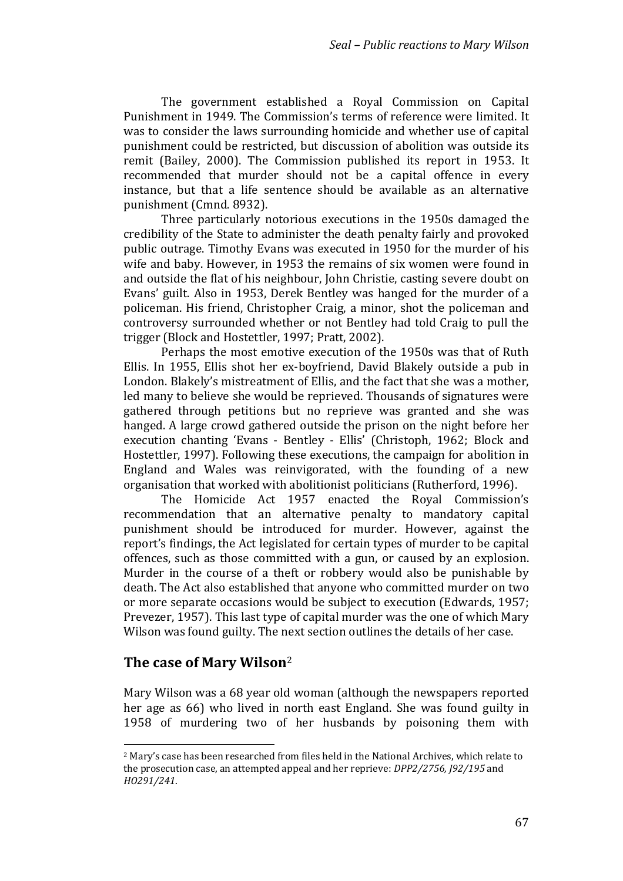The government established a Royal Commission on Capital Punishment in 1949. The Commission's terms of reference were limited. It was to consider the laws surrounding homicide and whether use of capital punishment could be restricted, but discussion of abolition was outside its remit (Bailey, 2000). The Commission published its report in 1953. It recommended that murder should not be a capital offence in every instance, but that a life sentence should be available as an alternative punishment (Cmnd. 8932).

Three particularly notorious executions in the 1950s damaged the credibility of the State to administer the death penalty fairly and provoked public outrage. Timothy Evans was executed in 1950 for the murder of his wife and baby. However, in 1953 the remains of six women were found in and outside the flat of his neighbour, John Christie, casting severe doubt on Evans' guilt. Also in 1953, Derek Bentley was hanged for the murder of a policeman. His friend, Christopher Craig, a minor, shot the policeman and controversy surrounded whether or not Bentley had told Craig to pull the trigger (Block and Hostettler, 1997; Pratt, 2002).

Perhaps the most emotive execution of the 1950s was that of Ruth Ellis. In 1955, Ellis shot her ex-boyfriend, David Blakely outside a pub in London. Blakely's mistreatment of Ellis, and the fact that she was a mother, led many to believe she would be reprieved. Thousands of signatures were gathered through petitions but no reprieve was granted and she was hanged. A large crowd gathered outside the prison on the night before her execution chanting 'Evans - Bentley - Ellis' (Christoph, 1962; Block and Hostettler, 1997). Following these executions, the campaign for abolition in England and Wales was reinvigorated, with the founding of a new organisation that worked with abolitionist politicians (Rutherford, 1996).

The Homicide Act 1957 enacted the Royal Commission's recommendation that an alternative penalty to mandatory capital punishment should be introduced for murder. However, against the report's findings, the Act legislated for certain types of murder to be capital offences, such as those committed with a gun, or caused by an explosion. Murder in the course of a theft or robbery would also be punishable by death. The Act also established that anyone who committed murder on two or more separate occasions would be subject to execution (Edwards, 1957; Prevezer, 1957). This last type of capital murder was the one of which Mary  $\;$ Wilson was found guilty. The next section outlines the details of her case.

# **The case of Mary Wilson**<sup>ʹ</sup>

 $\overline{a}$ 

Mary Wilson was a 68 year old woman (although the newspapers reported her age as 66) who lived in north east England. She was found guilty in 1958 of murdering two of her husbands by poisoning them with

<sup>&</sup>lt;sup>2</sup> Mary's case has been researched from files held in the National Archives, which relate to the prosecution case, an attempted appeal and her reprieve: *DPP2/2756, J92/195* and *HO291/241*.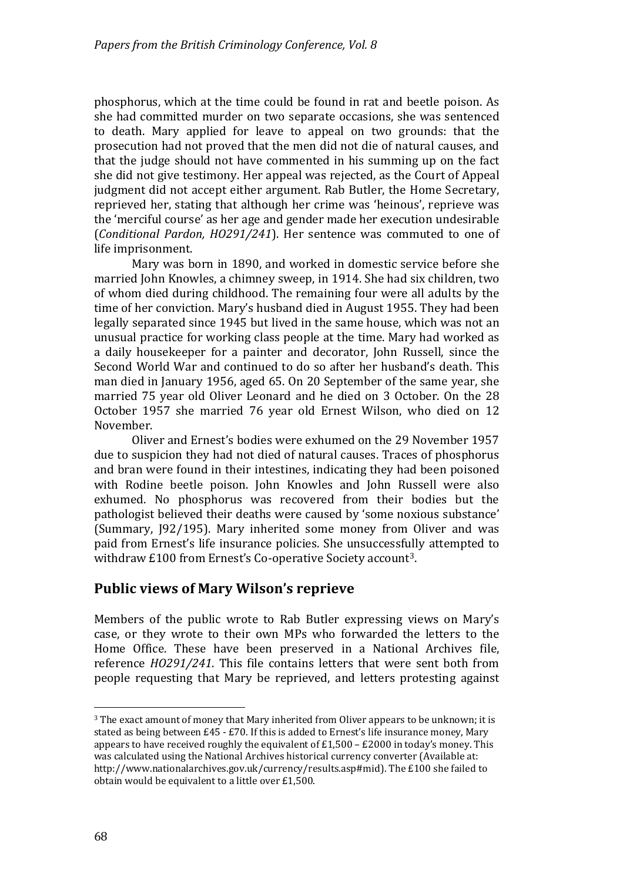phosphorus, which at the time could be found in rat and beetle poison. As she had committed murder on two separate occasions, she was sentenced to death. Mary applied for leave to appeal on two grounds: that the prosecution had not proved that the men did not die of natural causes, and that the judge should not have commented in his summing up on the fact she did not give testimony. Her appeal was rejected, as the Court of Appeal judgment did not accept either argument. Rab Butler, the Home Secretary, reprieved her, stating that although her crime was 'heinous', reprieve was the 'merciful course' as her age and gender made her execution undesirable (Conditional Pardon, *HO291/241*). Her sentence was commuted to one of life imprisonment.

Mary was born in 1890, and worked in domestic service before she married John Knowles, a chimney sweep, in 1914. She had six children, two of whom died during childhood. The remaining four were all adults by the time of her conviction. Mary's husband died in August 1955. They had been legally separated since 1945 but lived in the same house, which was not an unusual practice for working class people at the time. Mary had worked as a daily housekeeper for a painter and decorator, John Russell, since the Second World War and continued to do so after her husband's death. This man died in January 1956, aged 65. On 20 September of the same year, she married 75 year old Oliver Leonard and he died on 3 October. On the 28 October 1957 she married 76 year old Ernest Wilson, who died on 12 November.

Oliver and Ernest's bodies were exhumed on the 29 November 1957 due to suspicion they had not died of natural causes. Traces of phosphorus and bran were found in their intestines, indicating they had been poisoned with Rodine beetle poison. John Knowles and John Russell were also exhumed. No phosphorus was recovered from their bodies but the pathologist believed their deaths were caused by 'some noxious substance' (Summary, J92/195). Mary inherited some money from Oliver and was paid from Ernest's life insurance policies. She unsuccessfully attempted to withdraw £100 from Ernest's Co-operative Society account<sup>3</sup>.

# **Public views of Mary Wilson's reprieve**

Members of the public wrote to Rab Butler expressing views on Mary's case, or they wrote to their own MPs who forwarded the letters to the Home Office. These have been preserved in a National Archives file. reference *HO291/241*. This file contains letters that were sent both from people requesting that Mary be reprieved, and letters protesting against

 $\overline{a}$ 

<sup>&</sup>lt;sup>3</sup> The exact amount of money that Mary inherited from Oliver appears to be unknown; it is stated as being between  $£45 - £70$ . If this is added to Ernest's life insurance money, Mary appears to have received roughly the equivalent of  $£1,500 - £2000$  in today's money. This was calculated using the National Archives historical currency converter (Available at: http://www.nationalarchives.gov.uk/currency/results.asp#mid). The £100 she failed to obtain would be equivalent to a little over £1,500.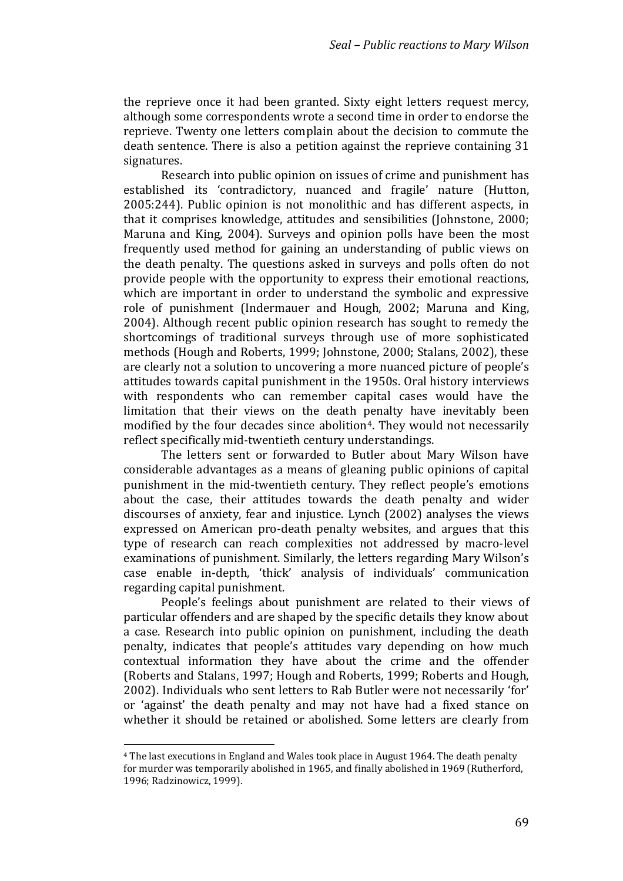the reprieve once it had been granted. Sixty eight letters request mercy, although some correspondents wrote a second time in order to endorse the reprieve. Twenty one letters complain about the decision to commute the death sentence. There is also a petition against the reprieve containing 31 signatures.

Research into public opinion on issues of crime and punishment has established its 'contradictory, nuanced and fragile' nature (Hutton, 2005:244). Public opinion is not monolithic and has different aspects, in that it comprises knowledge, attitudes and sensibilities (Johnstone, 2000; Maruna and King, 2004). Surveys and opinion polls have been the most frequently used method for gaining an understanding of public views on the death penalty. The questions asked in surveys and polls often do not provide people with the opportunity to express their emotional reactions, which are important in order to understand the symbolic and expressive role of punishment (Indermauer and Hough, 2002; Maruna and King, 2004). Although recent public opinion research has sought to remedy the shortcomings of traditional surveys through use of more sophisticated methods (Hough and Roberts, 1999; Johnstone, 2000; Stalans, 2002), these are clearly not a solution to uncovering a more nuanced picture of people's attitudes towards capital punishment in the 1950s. Oral history interviews with respondents who can remember capital cases would have the limitation that their views on the death penalty have inevitably been modified by the four decades since abolition<sup>4</sup>. They would not necessarily reflect specifically mid-twentieth century understandings.

The letters sent or forwarded to Butler about Mary Wilson have considerable advantages as a means of gleaning public opinions of capital punishment in the mid-twentieth century. They reflect people's emotions about the case, their attitudes towards the death penalty and wider discourses of anxiety, fear and injustice. Lynch  $(2002)$  analyses the views expressed on American pro-death penalty websites, and argues that this type of research can reach complexities not addressed by macro‐level examinations of punishment. Similarly, the letters regarding Mary Wilson's case enable in-depth, 'thick' analysis of individuals' communication regarding capital punishment.

People's feelings about punishment are related to their views of particular offenders and are shaped by the specific details they know about a case. Research into public opinion on punishment, including the death penalty, indicates that people's attitudes vary depending on how much contextual information they have about the crime and the offender (Roberts and Stalans, 1997; Hough and Roberts, 1999; Roberts and Hough, 2002). Individuals who sent letters to Rab Butler were not necessarily 'for' or 'against' the death penalty and may not have had a fixed stance on whether it should be retained or abolished. Some letters are clearly from

 $\overline{a}$ 

<sup>&</sup>lt;sup>4</sup> The last executions in England and Wales took place in August 1964. The death penalty for murder was temporarily abolished in 1965, and finally abolished in 1969 (Rutherford, 1996; Radzinowicz, 1999).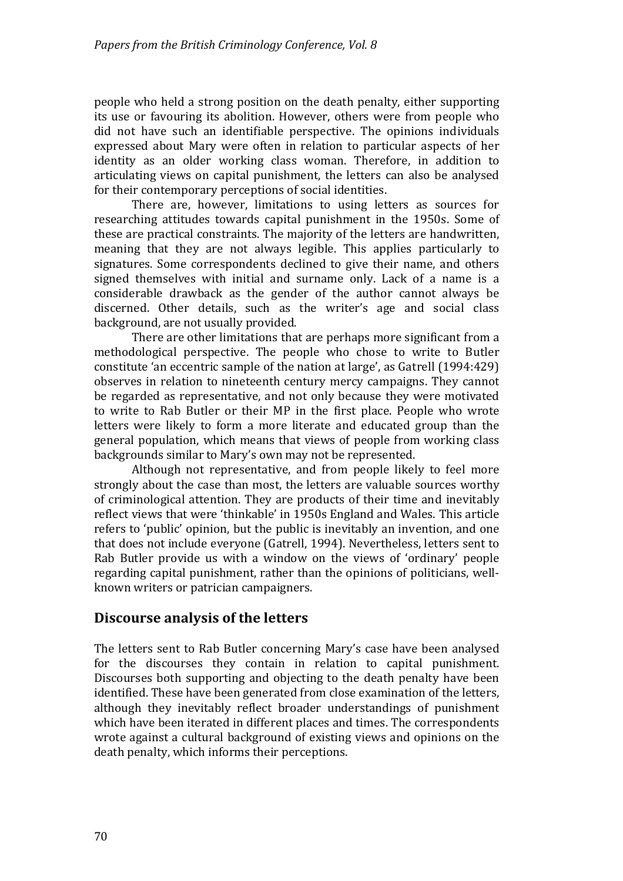people who held a strong position on the death penalty, either supporting its use or favouring its abolition. However, others were from people who did not have such an identifiable perspective. The opinions individuals expressed about Mary were often in relation to particular aspects of her identity as an older working class woman. Therefore, in addition to articulating views on capital punishment, the letters can also be analysed for their contemporary perceptions of social identities.

There are, however, limitations to using letters as sources for researching attitudes towards capital punishment in the 1950s. Some of these are practical constraints. The majority of the letters are handwritten, meaning that they are not always legible. This applies particularly to signatures. Some correspondents declined to give their name, and others signed themselves with initial and surname only. Lack of a name is a considerable drawback as the gender of the author cannot always be discerned. Other details, such as the writer's age and social class background, are not usually provided.

There are other limitations that are perhaps more significant from a methodological perspective. The people who chose to write to Butler constitute 'an eccentric sample of the nation at large', as Gatrell (1994:429) observes in relation to nineteenth century mercy campaigns. They cannot be regarded as representative, and not only because they were motivated to write to Rab Butler or their MP in the first place. People who wrote letters were likely to form a more literate and educated group than the general population, which means that views of people from working class backgrounds similar to Mary's own may not be represented.

Although not representative, and from people likely to feel more strongly about the case than most, the letters are valuable sources worthy of criminological attention. They are products of their time and inevitably reflect views that were 'thinkable' in 1950s England and Wales. This article refers to 'public' opinion, but the public is inevitably an invention, and one that does not include everyone (Gatrell, 1994). Nevertheless, letters sent to Rab Butler provide us with a window on the views of 'ordinary' people egarding capital punishment, rather than the opinions of politicians, well‐ r known writers or patrician campaigners.

# **Discourse analysis of the letters**

The letters sent to Rab Butler concerning Mary's case have been analysed for the discourses they contain in relation to capital punishment. Discourses both supporting and objecting to the death penalty have been identified. These have been generated from close examination of the letters, although they inevitably reflect broader understandings of punishment which have been iterated in different places and times. The correspondents wrote against a cultural background of existing views and opinions on the death penalty, which informs their perceptions.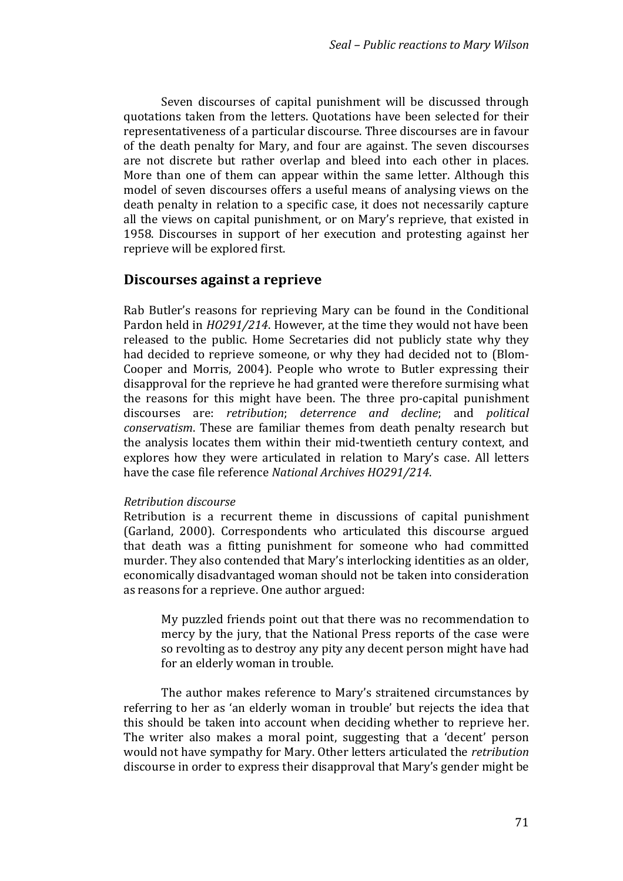Seven discourses of capital punishment will be discussed through quotations taken from the letters. Quotations have been selected for their representativeness of a particular discourse. Three discourses are in favour of the death penalty for Mary, and four are against. The seven discourses are not discrete but rather overlap and bleed into each other in places. More than one of them can appear within the same letter. Although this model of seven discourses offers a useful means of analysing views on the death penalty in relation to a specific case, it does not necessarily capture all the views on capital punishment, or on Mary's reprieve, that existed in 1958. Discourses in support of her execution and protesting against her reprieve will be explored first.

### **Discourses against a reprieve**

Rab Butler's reasons for reprieving Mary can be found in the Conditional Pardon held in *HO291/214*. However, at the time they would not have been released to the public. Home Secretaries did not publicly state why they had decided to reprieve someone, or why they had decided not to (Blom-Cooper and Morris, 2004). People who wrote to Butler expressing their disapproval for the reprieve he had granted were therefore surmising what the reasons for this might have been. The three pro-capital punishment discourses are: *retribution*; *deterrence and decline*; and *political conservatism*. These are familiar themes from death penalty research but the analysis locates them within their mid‐twentieth century context, and explores how they were articulated in relation to Mary's case. All letters ave the case file reference *National Archives HO291/214*. h

#### *Retribution discourse*

Retribution is a recurrent theme in discussions of capital punishment (Garland, 2000). Correspondents who articulated this discourse argued that death was a fitting punishment for someone who had committed murder. They also contended that Mary's interlocking identities as an older, conomically disadvantaged woman should not be taken into consideration e as reasons for a reprieve. One author argued:

My puzzled friends point out that there was no recommendation to mercy by the jury, that the National Press reports of the case were so revolting as to destroy any pity any decent person might have had for an elderly woman in trouble.

The author makes reference to Mary's straitened circumstances by referring to her as 'an elderly woman in trouble' but rejects the idea that this should be taken into account when deciding whether to reprieve her. The writer also makes a moral point, suggesting that a 'decent' person would not have sympathy for Mary. Other letters articulated the *retribution* discourse in order to express their disapproval that Mary's gender might be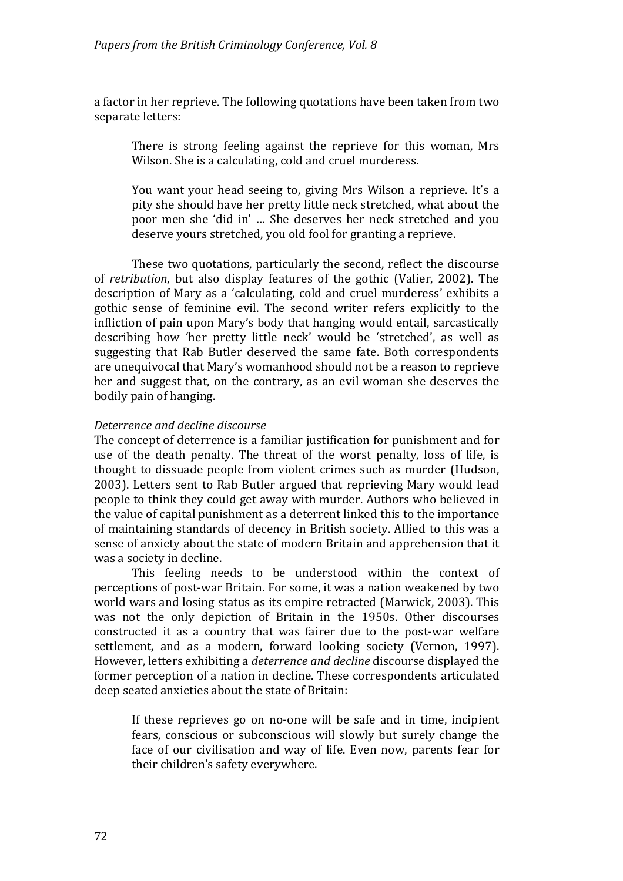a factor in her reprieve. The following quotations have been taken from two separate letters:

There is strong feeling against the reprieve for this woman, Mrs Wilson. She is a calculating, cold and cruel murderess.

You want vour head seeing to, giving Mrs Wilson a reprieve. It's a pity she should have her pretty little neck stretched, what about the poor men she 'did in' ... She deserves her neck stretched and you deserve yours stretched, you old fool for granting a reprieve.

These two quotations, particularly the second, reflect the discourse of *retribution*, but also display features of the gothic (Valier, 2002). The description of Mary as a 'calculating, cold and cruel murderess' exhibits a gothic sense of feminine evil. The second writer refers explicitly to the infliction of pain upon Mary's body that hanging would entail, sarcastically describing how 'her pretty little neck' would be 'stretched', as well as suggesting that Rab Butler deserved the same fate. Both correspondents are unequivocal that Maryǯs womanhood should not be a reason to reprieve her and suggest that, on the contrary, as an evil woman she deserves the bodily pain of hanging.

#### *Deterrence and decline discourse*

The concept of deterrence is a familiar justification for punishment and for use of the death penalty. The threat of the worst penalty, loss of life, is thought to dissuade people from violent crimes such as murder (Hudson, 2003). Letters sent to Rab Butler argued that reprieving Mary would lead people to think they could get away with murder. Authors who believed in the value of capital punishment as a deterrent linked this to the importance of maintaining standards of decency in British society. Allied to this was a sense of anxiety about the state of modern Britain and apprehension that it was a society in decline.

This feeling needs to be understood within the context of perceptions of post‐war Britain. For some, it was a nation weakened by two world wars and losing status as its empire retracted (Marwick, 2003). This was not the only depiction of Britain in the 1950s. Other discourses constructed it as a country that was fairer due to the post-war welfare settlement, and as a modern, forward looking society (Vernon, 1997). (owever, letters exhibiting a *deterrence and decline* discourse displayed the former perception of a nation in decline. These correspondents articulated deep seated anxieties about the state of Britain:

If these reprieves go on no-one will be safe and in time, incipient fears, conscious or subconscious will slowly but surely change the face of our civilisation and way of life. Even now, parents fear for their children's safety everywhere.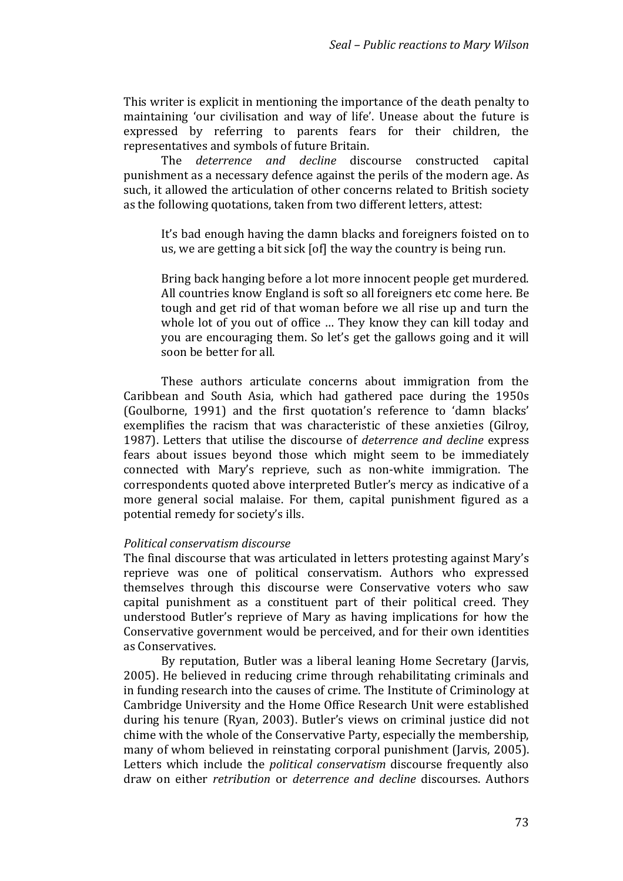This writer is explicit in mentioning the importance of the death penalty to maintaining 'our civilisation and way of life'. Unease about the future is expressed by referring to parents fears for their children, the representatives and symbols of future Britain.

The *deterrence and decline* discourse constructed capital punishment as a necessary defence against the perils of the modern age. As such, it allowed the articulation of other concerns related to British society as the following quotations, taken from two different letters, attest:

It's bad enough having the damn blacks and foreigners foisted on to us, we are getting a bit sick [of] the way the country is being run.

Bring back hanging before a lot more innocent people get murdered. All countries know England is soft so all foreigners etc come here. Be tough and get rid of that woman before we all rise up and turn the whole lot of you out of office … They know they can kill today and you are encouraging them. So let's get the gallows going and it will soon be better for all.

These authors articulate concerns about immigration from the Caribbean and South Asia, which had gathered pace during the 1950s (Goulborne, 1991) and the first quotation's reference to 'damn blacks' exemplifies the racism that was characteristic of these anxieties (Gilroy, 1987). Letters that utilise the discourse of *deterrence and decline* express fears about issues beyond those which might seem to be immediately connected with Mary's reprieve, such as non-white immigration. The correspondents quoted above interpreted Butler's mercy as indicative of a more general social malaise. For them, capital punishment figured as a potential remedy for society's ills.

#### *Political conservatism discourse*

The final discourse that was articulated in letters protesting against Mary's reprieve was one of political conservatism. Authors who expressed themselves through this discourse were Conservative voters who saw capital punishment as a constituent part of their political creed. They understood Butler's reprieve of Mary as having implications for how the Conservative government would be perceived, and for their own identities as Conservatives.

By reputation, Butler was a liberal leaning Home Secretary (Jarvis, 2005). He believed in reducing crime through rehabilitating criminals and in funding research into the causes of crime. The Institute of Criminology at Cambridge University and the Home Office Research Unit were established during his tenure (Ryan, 2003). Butler's views on criminal justice did not chime with the whole of the Conservative Party, especially the membership, many of whom believed in reinstating corporal punishment (Jarvis, 2005). Letters which include the *political conservatism* discourse frequently also draw on either *retribution* or *deterrence and decline* discourses. Authors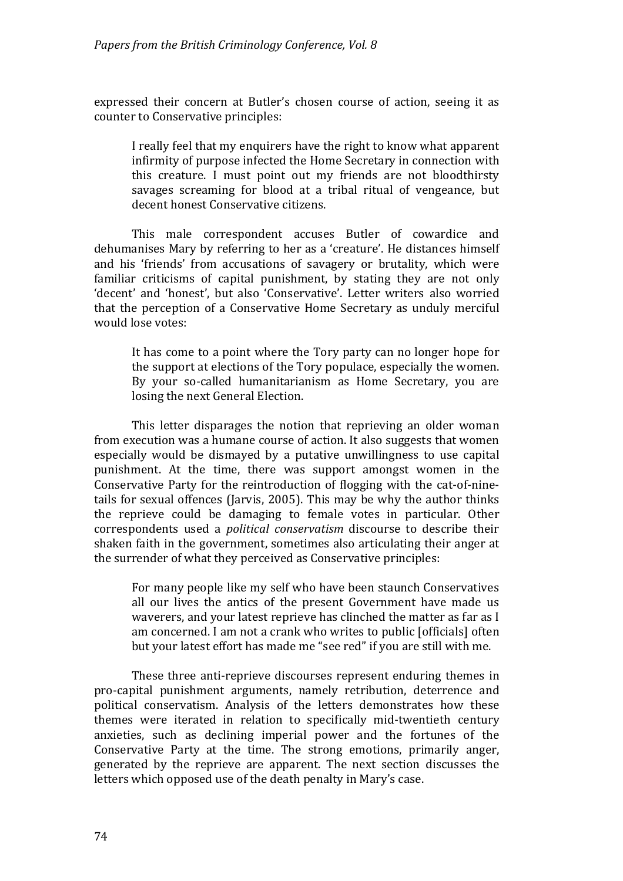e xpressed their concern at Butlerǯs chosen course of action, seeing it as c ounter to Conservative principles:

) really feel that my enquirers have the right to know what apparent infirmity of purpose infected the Home Secretary in connection with this creature. I must point out my friends are not bloodthirsty savages screaming for blood at a tribal ritual of vengeance, but decent honest Conservative citizens.

This male correspondent accuses Butler of cowardice and dehumanises Mary by referring to her as a 'creature'. He distances himself and his 'friends' from accusations of savagery or brutality, which were familiar criticisms of capital punishment, by stating they are not only 'decent' and 'honest', but also 'Conservative'. Letter writers also worried that the perception of a Conservative Home Secretary as unduly merciful would lose votes:

It has come to a point where the Tory party can no longer hope for the support at elections of the Tory populace, especially the women. By your so-called humanitarianism as Home Secretary, you are losing the next General Election.

This letter disparages the notion that reprieving an older woman from execution was a humane course of action. It also suggests that women especially would be dismayed by a putative unwillingness to use capital punishment. At the time, there was support amongst women in the Conservative Party for the reintroduction of flogging with the cat‐of‐nine‐ tails for sexual offences (Jarvis, 2005). This may be why the author thinks the reprieve could be damaging to female votes in particular. Other correspondents used a *political conservatism* discourse to describe their shaken faith in the government, sometimes also articulating their anger at the surrender of what they perceived as Conservative principles:  $\,$ 

For many people like my self who have been staunch Conservatives all our lives the antics of the present Government have made us waverers, and your latest reprieve has clinched the matter as far as I am concerned. I am not a crank who writes to public [officials] often but your latest effort has made me "see red" if you are still with me.

These three anti-reprieve discourses represent enduring themes in pro‐capital punishment arguments, namely retribution, deterrence and political conservatism. Analysis of the letters demonstrates how these themes were iterated in relation to specifically mid‐twentieth century anxieties, such as declining imperial power and the fortunes of the Conservative Party at the time. The strong emotions, primarily anger, generated by the reprieve are apparent. The next section discusses the letters which opposed use of the death penalty in Mary's case.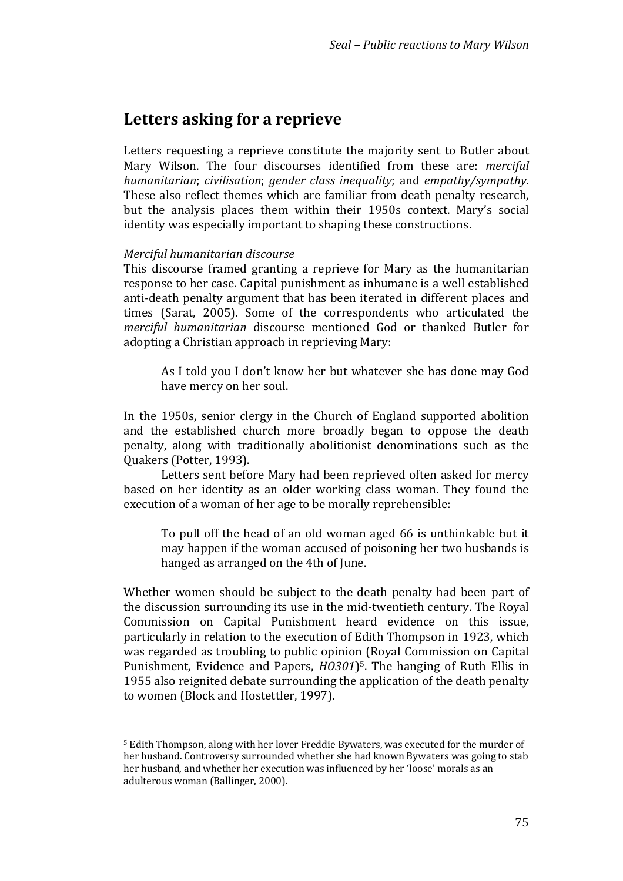# **Letters asking for a reprieve**

Letters requesting a reprieve constitute the majority sent to Butler about Mary Wilson. The four discourses identified from these are: *merciful humanitarian*; *civilisation*; *gender class inequality*; and *empathy/sympathy*. These also reflect themes which are familiar from death penalty research, but the analysis places them within their 1950s context. Mary's social dentity was especially important to shaping these constructions. i

#### *Merciful humanitarian discourse*

 $\overline{a}$ 

This discourse framed granting a reprieve for Mary as the humanitarian response to her case. Capital punishment as inhumane is a well established anti-death penalty argument that has been iterated in different places and times (Sarat, 2005). Some of the correspondents who articulated the *erciful humanitarian* discourse mentioned God or thanked Butler for *m* adopting a Christian approach in reprieving Mary:

As I told you I don't know her but whatever she has done may God have mercy on her soul.

In the 1950s, senior clergy in the Church of England supported abolition and the established church more broadly began to oppose the death penalty, along with traditionally abolitionist denominations such as the Quakers (Potter, 1993).

Letters sent before Mary had been reprieved often asked for mercy based on her identity as an older working class woman. They found the execution of a woman of her age to be morally reprehensible:

To pull off the head of an old woman aged 66 is unthinkable but it may happen if the woman accused of poisoning her two husbands is hanged as arranged on the 4th of June.

Whether women should be subject to the death penalty had been part of the discussion surrounding its use in the mid‐twentieth century. The Royal Commission on Capital Punishment heard evidence on this issue, particularly in relation to the execution of Edith Thompson in 1923, which was regarded as troubling to public opinion (Royal Commission on Capital Punishment, Evidence and Papers, *H0301*)<sup>5</sup>. The hanging of Ruth Ellis in 1955 also reignited debate surrounding the application of the death penalty to women (Block and Hostettler, 1997).

<sup>&</sup>lt;sup>5</sup> Edith Thompson, along with her lover Freddie Bywaters, was executed for the murder of her husband. Controversy surrounded whether she had known Bywaters was going to stab her husband, and whether her execution was influenced by her 'loose' morals as an adulterous woman (Ballinger, 2000).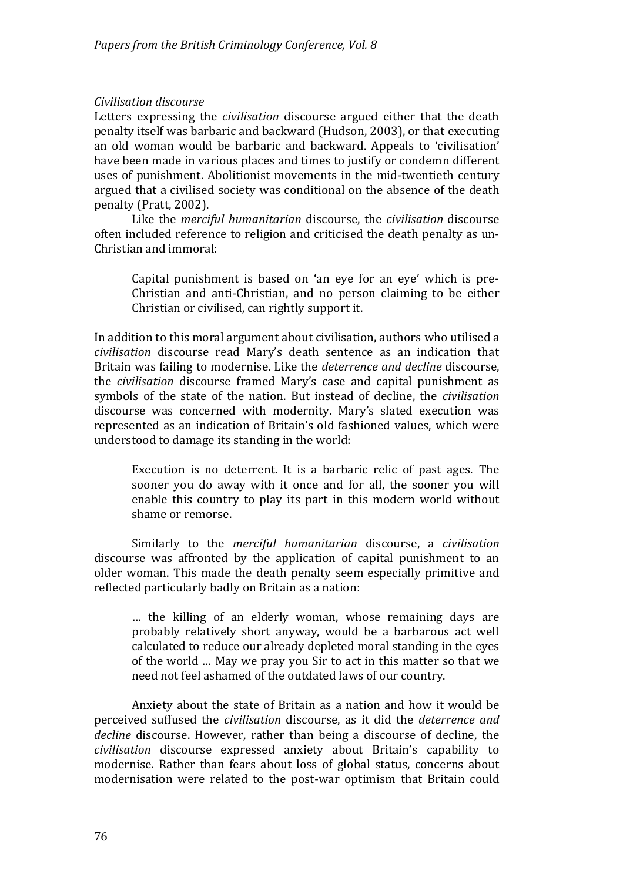#### *Civilisation discourse*

Letters expressing the *civilisation* discourse argued either that the death penalty itself was barbaric and backward (Hudson, 2003), or that executing an old woman would be barbaric and backward. Appeals to 'civilisation' have been made in various places and times to justify or condemn different uses of punishment. Abolitionist movements in the mid‐twentieth century argued that a civilised society was conditional on the absence of the death penalty (Pratt, 2002).

Like the *merciful humanitarian* discourse, the *civilisation* discourse often included reference to religion and criticised the death penalty as un-Christian and immoral:

Capital punishment is based on 'an eye for an eye' which is pre-Christian and anti‐Christian, and no person claiming to be either Christian or civilised, can rightly support it.

In addition to this moral argument about civilisation, authors who utilised a *civilisation* discourse read Maryǯs death sentence as an indication that Britain was failing to modernise. Like the *deterrence and decline* discourse, the *civilisation* discourse framed Maryǯs case and capital punishment as symbols of the state of the nation. But instead of decline, the *civilisation* discourse was concerned with modernity. Mary's slated execution was represented as an indication of Britain's old fashioned values, which were understood to damage its standing in the world:

Execution is no deterrent. It is a barbaric relic of past ages. The sooner you do away with it once and for all, the sooner you will enable this country to play its part in this modern world without shame or remorse.

Similarly to the *merciful humanitarian* discourse, a *civilisation* discourse was affronted by the application of capital punishment to an older woman. This made the death penalty seem especially primitive and reflected particularly badly on Britain as a nation:

… the killing of an elderly woman, whose remaining days are probably relatively short anyway, would be a barbarous act well calculated to reduce our already depleted moral standing in the eyes of the world … May we pray you Sir to act in this matter so that we need not feel ashamed of the outdated laws of our country.

Anxiety about the state of Britain as a nation and how it would be perceived suffused the *civilisation* discourse, as it did the *deterrence and decline* discourse. However, rather than being a discourse of decline, the *civilisation* discourse expressed anxiety about Britainǯs capability to modernise. Rather than fears about loss of global status, concerns about modernisation were related to the post‐war optimism that Britain could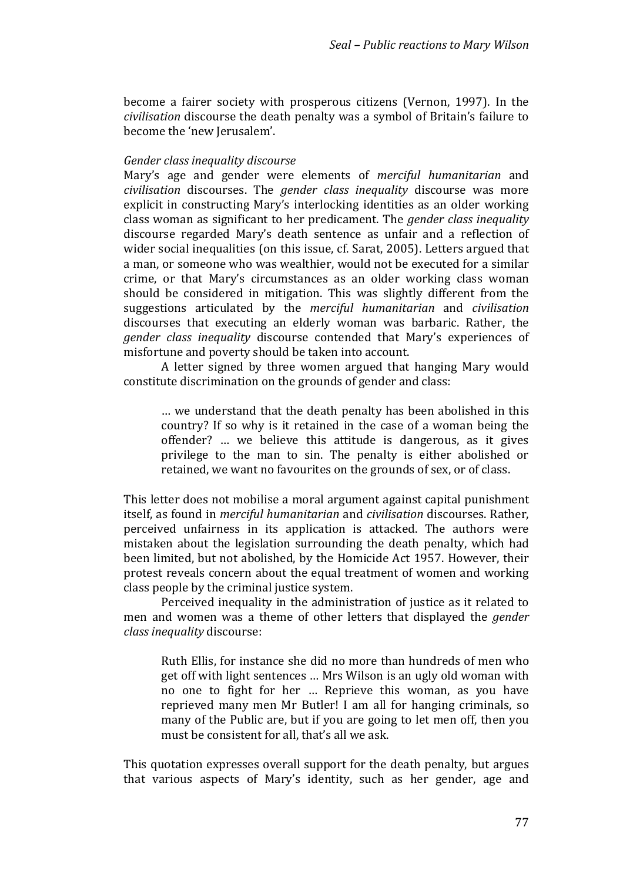become a fairer society with prosperous citizens (Vernon, 1997). In the *ivilisation* discourse the death penalty was a symbol of Britainǯs failure to *c* become the 'new Jerusalem'.

#### *Gender class inequality discourse*

Maryǯs age and gender were elements of *merciful humanitarian* and *civilisation* discourses. The *gender class inequality* discourse was more explicit in constructing Mary's interlocking identities as an older working class woman as significant to her predicament. The *gender class inequality* discourse regarded Mary's death sentence as unfair and a reflection of wider social inequalities (on this issue, cf. Sarat, 2005). Letters argued that a man, or someone who was wealthier, would not be executed for a similar crime, or that Mary's circumstances as an older working class woman should be considered in mitigation. This was slightly different from the suggestions articulated by the *merciful humanitarian* and *civilisation* discourses that executing an elderly woman was barbaric. Rather, the *gender class inequality* discourse contended that Maryǯs experiences of misfortune and poverty should be taken into account.

A letter signed by three women argued that hanging Mary would constitute discrimination on the grounds of gender and class:

… we understand that the death penalty has been abolished in this country? If so why is it retained in the case of a woman being the offender? … we believe this attitude is dangerous, as it gives privilege to the man to sin. The penalty is either abolished or retained, we want no favourites on the grounds of sex, or of class.

This letter does not mobilise a moral argument against capital punishment itself, as found in *merciful humanitarian* and *civilisation* discourses. Rather, perceived unfairness in its application is attacked. The authors were mistaken about the legislation surrounding the death penalty, which had been limited, but not abolished, by the Homicide Act 1957. However, their protest reveals concern about the equal treatment of women and working class people by the criminal justice system.

Perceived inequality in the administration of justice as it related to men and women was a theme of other letters that displayed the *gender lass in c equality* discourse:

Ruth Ellis, for instance she did no more than hundreds of men who get off with light sentences … Mrs Wilson is an ugly old woman with no one to fight for her … Reprieve this woman, as you have reprieved many men Mr Butler! I am all for hanging criminals, so many of the Public are, but if you are going to let men off, then you must be consistent for all, that's all we ask.

This quotation expresses overall support for the death penalty, but argues that various aspects of Mary's identity, such as her gender, age and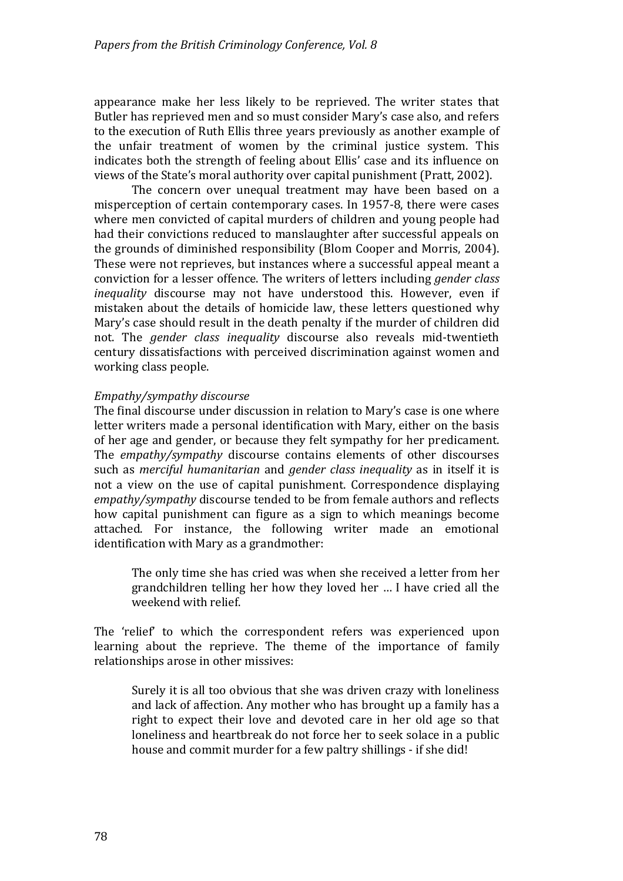appearance make her less likely to be reprieved. The writer states that Butler has reprieved men and so must consider Mary's case also, and refers to the execution of Ruth Ellis three years previously as another example of the unfair treatment of women by the criminal justice system. This indicates both the strength of feeling about Ellis' case and its influence on views of the State's moral authority over capital punishment (Pratt, 2002).

The concern over unequal treatment may have been based on a misperception of certain contemporary cases. In 1957-8, there were cases where men convicted of capital murders of children and young people had had their convictions reduced to manslaughter after successful appeals on the grounds of diminished responsibility (Blom Cooper and Morris, 2004). These were not reprieves, but instances where a successful appeal meant a conviction for a lesser offence. The writers of letters including *gender class inequality* discourse may not have understood this. However, even if mistaken about the details of homicide law, these letters questioned why Mary's case should result in the death penalty if the murder of children did not. The *gender class inequality* discourse also reveals mid‐twentieth entury dissatisfactions with perceived discrimination against women and c working class people.

#### *Empathy/sympathy discourse*

The final discourse under discussion in relation to Mary's case is one where letter writers made a personal identification with Mary, either on the basis of her age and gender, or because they felt sympathy for her predicament. The *empathy/sympathy* discourse contains elements of other discourses such as *merciful humanitarian* and *gender class inequality* as in itself it is not a view on the use of capital punishment. Correspondence displaying *empathy/sympathy* discourse tended to be from female authors and reflects how capital punishment can figure as a sign to which meanings become attached. For instance, the following writer made an emotional dentifi i cation with Mary as a grandmother:

The only time she has cried was when she received a letter from her grandchildren telling her how they loved her ... I have cried all the weekend with relief.

The 'relief' to which the correspondent refers was experienced upon learning about the reprieve. The theme of the importance of family relationships arose in other missives:

Surely it is all too obvious that she was driven crazy with loneliness and lack of affection. Any mother who has brought up a family has a right to expect their love and devoted care in her old age so that loneliness and heartbreak do not force her to seek solace in a public house and commit murder for a few paltry shillings - if she did!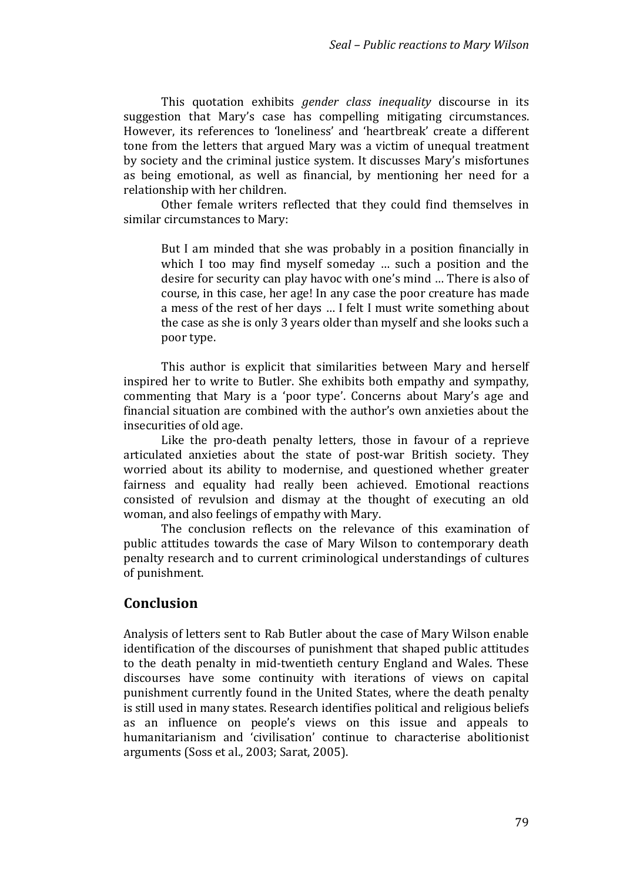This quotation exhibits *gender class inequality* discourse in its suggestion that Mary's case has compelling mitigating circumstances. However, its references to 'loneliness' and 'heartbreak' create a different tone from the letters that argued Mary was a victim of unequal treatment by society and the criminal justice system. It discusses Mary's misfortunes as being emotional, as well as financial, by mentioning her need for a relationship with her children.

Other female writers reflected that they could find themselves in similar circumstances to Mary:

But I am minded that she was probably in a position financially in which I too may find myself someday  $\ldots$  such a position and the desire for security can play havoc with one's mind ... There is also of course, in this case, her age! In any case the poor creature has made a mess of the rest of her days ... I felt I must write something about the case as she is only 3 years older than myself and she looks such a poor type.

This author is explicit that similarities between Mary and herself inspired her to write to Butler. She exhibits both empathy and sympathy, commenting that Mary is a 'poor type'. Concerns about Mary's age and financial situation are combined with the author's own anxieties about the insecurities of old age.

Like the pro-death penalty letters, those in favour of a reprieve articulated anxieties about the state of post‐war British society. They worried about its ability to modernise, and questioned whether greater fairness and equality had really been achieved. Emotional reactions consisted of revulsion and dismay at the thought of executing an old woman, and also feelings of empathy with Mary.

The conclusion reflects on the relevance of this examination of public attitudes towards the case of Mary Wilson to contemporary death enalty research and to current criminological understandings of cultures p of punishment.

# **Conclusion**

Analysis of letters sent to Rab Butler about the case of Mary Wilson enable identification of the discourses of punishment that shaped public attitudes to the death penalty in mid‐twentieth century England and Wales. These discourses have some continuity with iterations of views on capital punishment currently found in the United States, where the death penalty is still used in many states. Research identifies political and religious beliefs as an influence on people's views on this issue and appeals to humanitarianism and 'civilisation' continue to characterise abolitionist arguments (Soss et al., 2003; Sarat, 2005).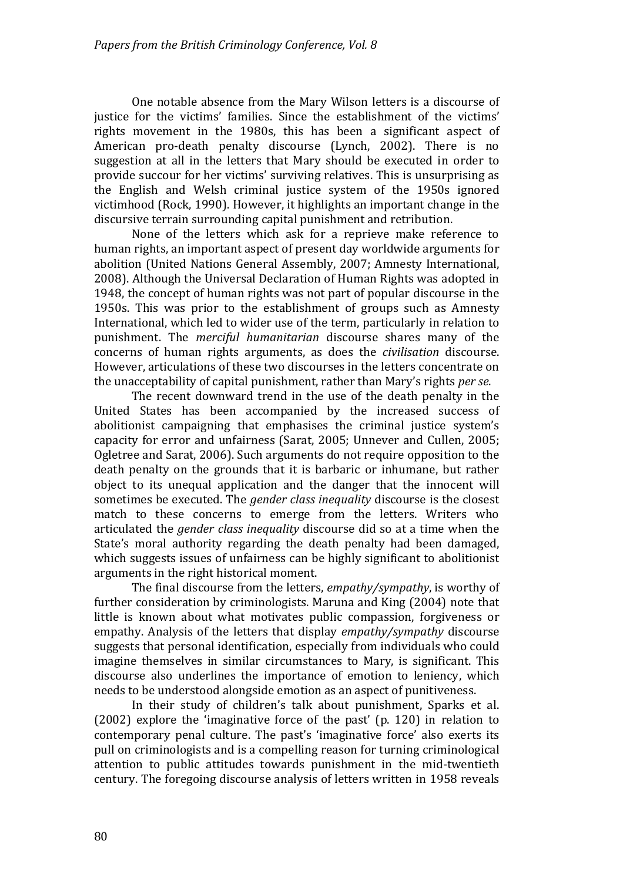One notable absence from the Mary Wilson letters is a discourse of justice for the victims' families. Since the establishment of the victims' rights movement in the 1980s, this has been a significant aspect of American pro-death penalty discourse (Lynch, 2002). There is no suggestion at all in the letters that Mary should be executed in order to provide succour for her victims' surviving relatives. This is unsurprising as the English and Welsh criminal justice system of the 1950s ignored victimhood (Rock, 1990). However, it highlights an important change in the discursive terrain surrounding capital punishment and retribution.

None of the letters which ask for a reprieve make reference to human rights, an important aspect of present day worldwide arguments for abolition (United Nations General Assembly, 2007; Amnesty International, 2008). Although the Universal Declaration of Human Rights was adopted in 1948, the concept of human rights was not part of popular discourse in the 1950s. This was prior to the establishment of groups such as Amnesty International, which led to wider use of the term, particularly in relation to punishment. The *merciful humanitarian* discourse shares many of the concerns of human rights arguments, as does the *civilisation* discourse. However, articulations of these two discourses in the letters concentrate on the unacceptability of capital punishment, rather than Maryǯs rights *per se*.

The recent downward trend in the use of the death penalty in the United States has been accompanied by the increased success of abolitionist campaigning that emphasises the criminal justice system's capacity for error and unfairness (Sarat, 2005; Unnever and Cullen, 2005; Ogletree and Sarat, 2006). Such arguments do not require opposition to the death penalty on the grounds that it is barbaric or inhumane, but rather object to its unequal application and the danger that the innocent will sometimes be executed. The *gender class inequality* discourse is the closest match to these concerns to emerge from the letters. Writers who articulated the *gender class inequality* discourse did so at a time when the State's moral authority regarding the death penalty had been damaged, which suggests issues of unfairness can be highly significant to abolitionist arguments in the right historical moment.

The final discourse from the letters, *empathy/sympathy*, is worthy of further consideration by criminologists. Maruna and King (2004) note that little is known about what motivates public compassion, forgiveness or empathy. Analysis of the letters that display *empathy/sympathy* discourse suggests that personal identification, especially from individuals who could imagine themselves in similar circumstances to Mary, is significant. This discour se also underlines the importance of emotion to leniency, which needs to be understood alongside emotion as an aspect of punitiveness.

In their study of children's talk about punishment, Sparks et al.  $(2002)$  explore the 'imaginative force of the past'  $(p. 120)$  in relation to contemporary penal culture. The past's 'imaginative force' also exerts its pull on criminologists and is a compelling reason for turning criminological attention to public attitudes towards punishment in the mid‐twentieth century. The foregoing discourse analysis of letters written in 1958 reveals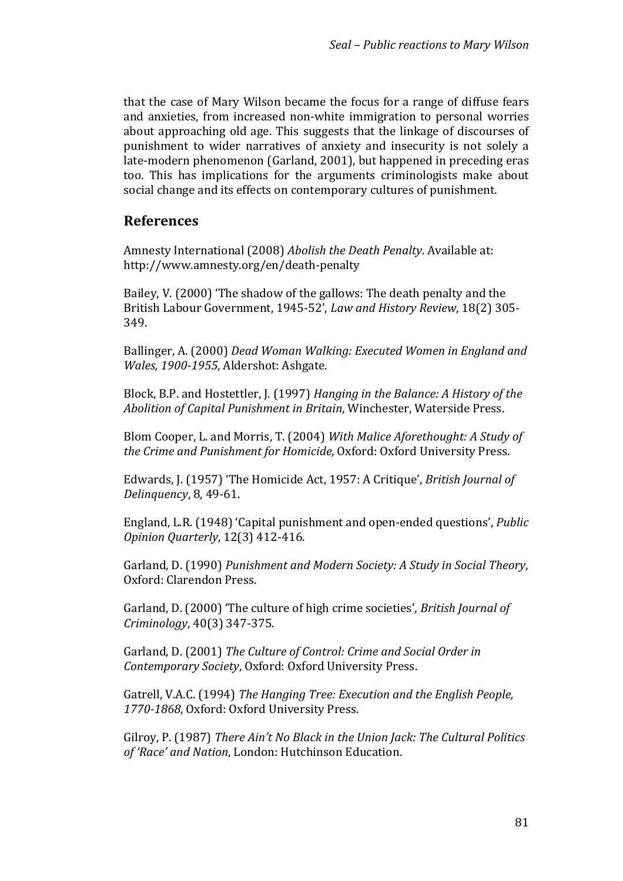that the case of Mary Wilson became the focus for a range of diffuse fears and anxieties, from increased non‐white immigration to personal worries about approaching old age. This suggests that the linkage of discourses of punishment to wider narratives of anxiety and insecurity is not solely a late-modern phenomenon (Garland, 2001), but happened in preceding eras too. This has implications for the arguments criminologists make about social change and its effects on contemporary cultures of punishment.

# **References**

Amnesty International (2008) *Abolish the Death Penalty*. Available at: http://www.amnesty.org/en/death‐penalty

Bailey, V. (2000) 'The shadow of the gallows: The death penalty and the British Labour Government, 1945-52', *Law and History Review*, 18(2) 305-349.

 $B$ allinger, A.  $(2000)$   $Dead$   $Woman$   $Walking:$   $Execution$   $Exy$   $Ix$   $Ix$   $Iy$   $Iy$   $Iy$   $Iy$ *Wales, 1900-1955, Aldershot: Ashgate.* 

 $Block, B.P.$  and  $Hostettler, J.$   $(1997)$   $Hanging$   $in$   $the$   $Balance:$   $A$   $History$   $of$   $the$ *in*, Winchester, Waterside Press. *Abolition of Capital Punishment in Brita*

lem Cooper, L. and Morris, T. (2004) *With Malice Aforethought: A Study of* niversity Press. *the Crime and Punishment for Homicide*, Oxford: Oxford U

Edwards, J. ȋͳͻͷȌ ǮThe (omicide Act, ͳͻͷ: A Critiqueǯ, *British Journal of Delinquency*, 8, 49-61.

England, L.R. (1948) 'Capital punishment and open-ended questions', *Public Opinion Quarterly,* 12(3) 412-416.

 $Garland, D. (1990)$  *Punishment and Modern Society: A Study in Social Theory,* Oxford: Clarendon Press.

Garland, D. (2000) 'The culture of high crime societies', *British Journal of Criminology,* 40(3) 347-375.

 $\alpha$  Garland, D.  $(2001)$  *The Culture of Control: Crime and Social Order in* , Oxford: Oxford University Press. *Contemporary Society*

 $\emph{Gatrell, V.A.C. (1994) }$   $\emph{The Hanging Tree: Execution and the English People,}$ 1770-1868, Oxford: Oxford University Press.

 $Gilroy, P. (1987)$  *There Ain't No Black in the Union Jack: The Cultural Politics* of *'Race' and Nation,* London: Hutchinson Education.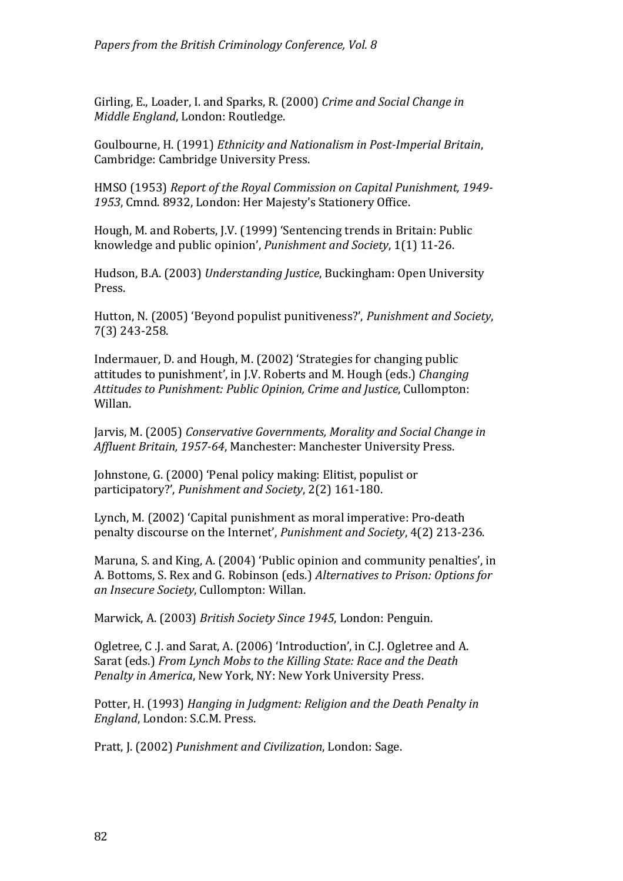Girling, E., Loader, I. and Sparks, R. (2000) *Crime and Social Change in Middle England*, London: Routledge.

 $G$ oulbourne, H. (1991) *Ethnicity and Nationalism in Post-Imperial Britain,* Cambridge: Cambridge University Press.

(MSO ȋͳͻͷ͵Ȍ *Report of the Royal Commission on Capital Punishment, 1949* 1953, Cmnd. 8932, London: Her Majesty's Stationery Office.

Hough, M. and Roberts, J.V. (1999) `Sentencing trends in Britain: Public l knowledge and public opinion', *Punishment and Society*, 1(1) 11-26.

Hudson, B.A. (2003) *Understanding Justice*, Buckingham: Open University Press.

Hutton, N. (2005) 'Beyond populist punitiveness?', *Punishment and Society*,  $7(3)$  243-258.

Indermauer, D. and Hough, M. (2002) 'Strategies for changing public attitudes to punishment', in J.V. Roberts and M. Hough (eds.) *Changing Attitudes to Punishment: Public Opinion, Crime and Justice*, Cullompton: Willan.

Jarvis, M. (2005) Conservative Governments, Morality and Social Change in *Affluent Britain, 1957-64, Manchester: Manchester University Press.* 

Johnstone, G. (2000) 'Penal policy making: Elitist, populist or participatory?', *Punishment and Society*, 2(2) 161-180.

Lynch, M. (2002) 'Capital punishment as moral imperative: Pro-death penalty discourse on the Internet', *Punishment and Society*, 4(2) 213-236.

Maruna, S. and King, A. (2004) 'Public opinion and community penalties', in . Bottoms, S. Rex and G. Robinson ȋeds.Ȍ *Alternatives to Prison: Options for* A *an Insecure Society,* Cullompton: Willan.

*Marwick, A. (2003) British Society Since 1945, London: Penguin.* 

Ogletree, C .J. and Sarat, A. (2006) 'Introduction', in C.J. Ogletree and A. arat ȋeds.Ȍ *From Lynch Mobs to the Killing State: Race and the Death* S *Penalty in America, New York, NY: New York University Press.* 

 $P$ otter, H. (1993) *Hanging in Judgment: Religion and the Death Penalty in* n: S.C.M. Press. *England*, Londo

Pratt, J. (2002) *Punishment and Civilization*, London: Sage.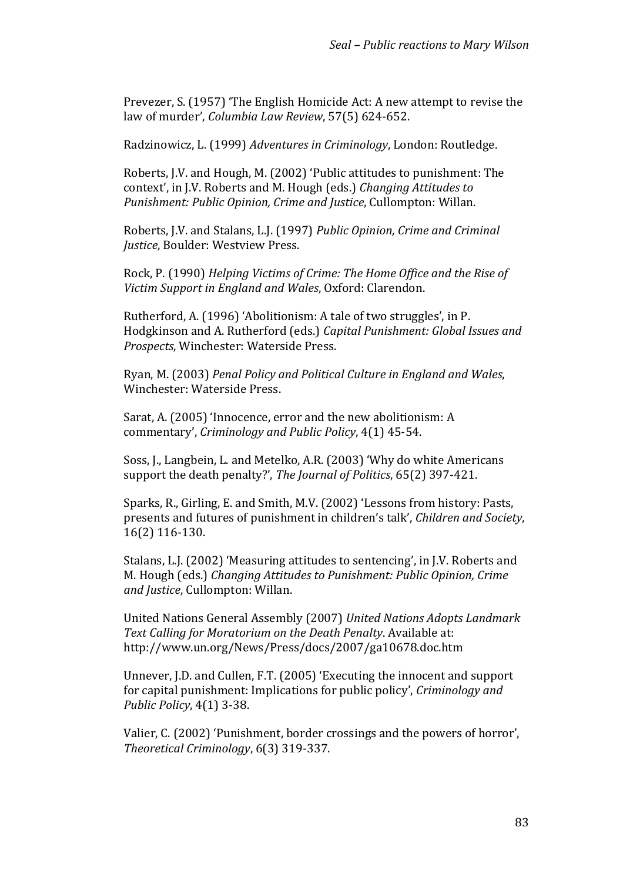Prevezer, S. (1957) 'The English Homicide Act: A new attempt to revise the law of murder', *Columbia Law Review*, 57(5) 624-652.

Radzinowicz, L. (1999) *Adventures in Criminology*, London: Routledge.

Roberts, J.V. and Hough, M. (2002) 'Public attitudes to punishment: The context', in J.V. Roberts and M. Hough (eds.) *Changing Attitudes to d Justice*, Cullompton: Willan. *Punishment: Public Opinion, Crime an*

 $R$ oberts, J.V. and Stalans, L.J. (1997) *Public Opinion, Crime and Criminal Justice,* Boulder: Westview Press.

Rock, P. ȋͳͻͻͲȌ *Helping Victims of Crime: The Home Office and the Rise of Victim Support in England and Wales*, Oxford: Clarendon.

Rutherford, A. (1996) 'Abolitionism: A tale of two struggles', in P. odgkinson and A. Rutherford ȋeds.Ȍ *Capital Punishment: Global Issues and* ( *Prospects*, Winchester: Waterside Press.

 $R$ van, M. (2003) *Penal Policy and Political Culture in England and Wales,* Winchester: Waterside Press.

Sarat, A. (2005) 'Innocence, error and the new abolitionism: A commentary', *Criminology and Public Policy*, 4(1) 45-54.

Soss, J., Langbein, L. and Metelko, A.R. (2003) 'Why do white Americans support the death penalty?', *The Journal of Politics*, 65(2) 397-421.

Sparks, R., Girling, E. and Smith, M.V. (2002) 'Lessons from history: Pasts, presents and futures of punishment in childrenǯs talkǯ, *Children and Society*,  $16(2)$  116-130.

Stalans, L.J. (2002) 'Measuring attitudes to sentencing', in J.V. Roberts and **M.** Hough (eds.) *Changing Attitudes to Punishment: Public Opinion, Crime and Justice*, Cullompton: Willan.

United Nations General Assembly (2007) United Nations Adopts Landmark *Text Calling for Moratorium on the Death Penalty*. Available at: http://www.un.org/News/Press/docs/2007/ga10678.doc.htm

Unnever, J.D. and Cullen, F.T. (2005) 'Executing the innocent and support for capital punishment: Implications for public policy', *Criminology and Public Policy*, 4(1) 3-38.

Valier, C. (2002) 'Punishment, border crossings and the powers of horror', *Fheoretical Criminology*, 6(3) 319-337.